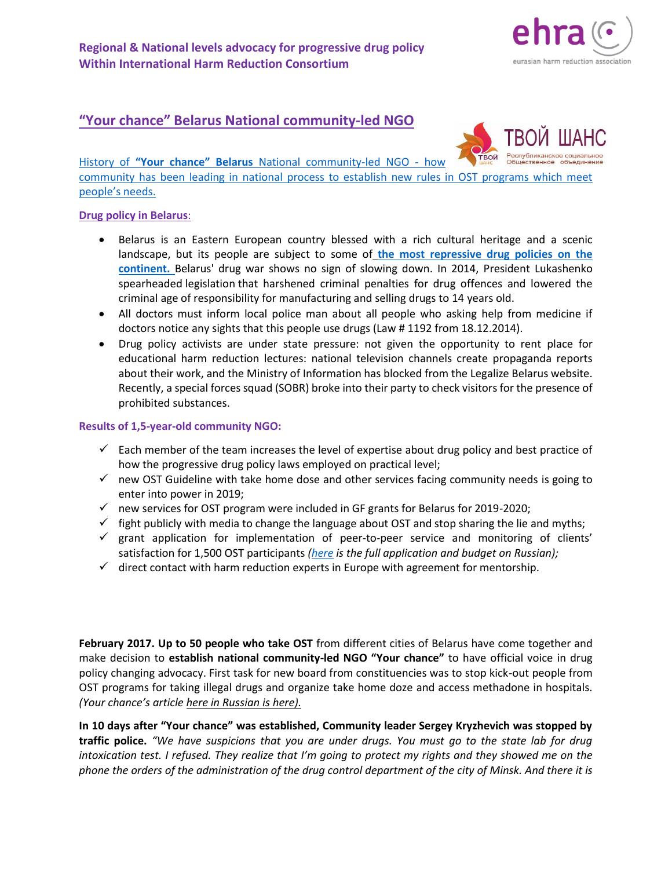# **"Your chance" Belarus National community-led NGO**

History of **["Your chance"](http://yourchance.by/) Belarus** National community-led NGO - how community has been leading in national process to establish new rules in OST programs which meet people's needs.

eurasian harm reduction association

### **Drug policy in Belarus**:

- Belarus is an Eastern European country blessed with a rich cultural heritage and a scenic landscape, but its people are subject to some of **[the most repressive drug policies on the](https://www.talkingdrugs.org/belarus-drug-war-repression)  [continent.](https://www.talkingdrugs.org/belarus-drug-war-repression)** Belarus' drug war shows no sign of slowing down. In 2014, President Lukashenko spearheaded legislation that harshened criminal penalties for drug offences and lowered the criminal age of responsibility for manufacturing and selling drugs to 14 years old.
- All doctors must inform local police man about all people who asking help from medicine if doctors notice any sights that this people use drugs (Law # 1192 from 18.12.2014).
- Drug policy activists are under state pressure: not given the opportunity to rent place for educational harm reduction lectures: national television channels create propaganda reports about their work, and the Ministry of Information has blocked from the Legalize Belarus website. Recently, a special forces squad (SOBR) broke into their party to check visitors for the presence of prohibited substances.

### **Results of 1,5-year-old community NGO:**

- $\checkmark$  Each member of the team increases the level of expertise about drug policy and best practice of how the progressive drug policy laws employed on practical level;
- $\checkmark$  new OST Guideline with take home dose and other services facing community needs is going to enter into power in 2019;
- $\checkmark$  new services for OST program were included in GF grants for Belarus for 2019-2020;
- $\checkmark$  fight publicly with media to change the language about OST and stop sharing the lie and myths;
- $\checkmark$  grant application for implementation of peer-to-peer service and monitoring of clients' satisfaction for 1,500 OST participants *[\(here](http://yourchance.by/zayavka-rsoo-tvoj-shans-na-konkurs-opioidnaya-zamestitelnaya-terapiya-i-drugoe-lechenie-narkoticheskoj-zavisimosti-dlya-lyudej-upotreblyayushhih-inektsionnye-narkotiki/) is the full application and budget on Russian);*
- $\checkmark$  direct contact with harm reduction experts in Europe with agreement for mentorship.

**February 2017. Up to 50 people who take OST** from different cities of Belarus have come together and make decision to **establish national community-led NGO "Your chance"** to have official voice in drug policy changing advocacy. First task for new board from constituencies was to stop kick-out people from OST programs for taking illegal drugs and organize take home doze and access methadone in hospitals. *(Your chance's article here [in Russian is here\).](http://minsknews.by/wp-content/uploads/2017/03/Izobrazhenie-008-copy.jpg)*

**In 10 days after "Your chance" was established, Community leader Sergey Kryzhevich was stopped by traffic police.** *"We have suspicions that you are under drugs. You must go to the state lab for drug intoxication test. I refused. They realize that I'm going to protect my rights and they showed me on the phone the orders of the administration of the drug control department of the city of Minsk. And there it is*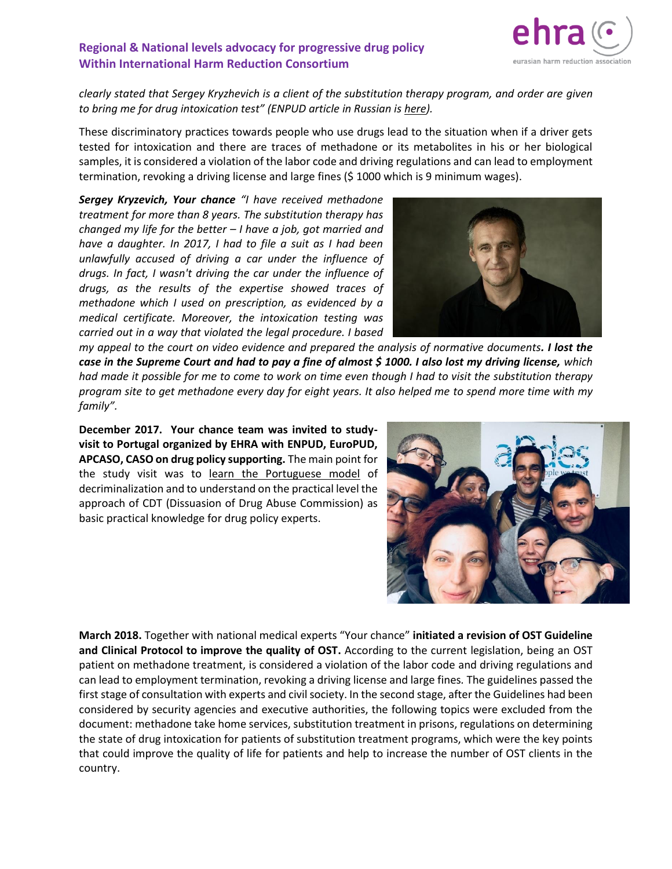

*clearly stated that Sergey Kryzhevich is a client of the substitution therapy program, and order are given to bring me for drug intoxication test" (ENPUD article in Russian is [here\)](http://enpud.net/index.php/деятельность/проекты/с-улицы-в-правительство/875-беларусь-есть-права-у-пациента-заместительной-терапии-метадоном-или.html).*

These discriminatory practices towards people who use drugs lead to the situation when if a driver gets tested for intoxication and there are traces of methadone or its metabolites in his or her biological samples, it is considered a violation of the labor code and driving regulations and can lead to employment termination, revoking a driving license and large fines (\$ 1000 which is 9 minimum wages).

*Sergey Kryzevich, Your chance "I have received methadone treatment for more than 8 years. The substitution therapy has changed my life for the better – I have a job, got married and have a daughter. In 2017, I had to file a suit as I had been unlawfully accused of driving a car under the influence of drugs. In fact, I wasn't driving the car under the influence of drugs, as the results of the expertise showed traces of methadone which I used on prescription, as evidenced by a medical certificate. Moreover, the intoxication testing was carried out in a way that violated the legal procedure. I based* 



*my appeal to the court on video evidence and prepared the analysis of normative documents. I lost the case in the Supreme Court and had to pay a fine of almost \$ 1000. I also lost my driving license, which had made it possible for me to come to work on time even though I had to visit the substitution therapy program site to get methadone every day for eight years. It also helped me to spend more time with my family".*

**December 2017. Your chance team was invited to studyvisit to Portugal organized by EHRA with ENPUD, EuroPUD, APCASO, CASO on drug policy supporting.** The main point for the study visit was to [learn the Portuguese model](https://harmreductioneurasia.org/internship-in-portugal-2017/) of decriminalization and to understand on the practical level the approach of CDT (Dissuasion of Drug Abuse Commission) as basic practical knowledge for drug policy experts.



**March 2018.** Together with national medical experts "Your chance" **initiated a revision of OST Guideline and Clinical Protocol to improve the quality of OST.** According to the current legislation, being an OST patient on methadone treatment, is considered a violation of the labor code and driving regulations and can lead to employment termination, revoking a driving license and large fines*.* The guidelines passed the first stage of consultation with experts and civil society. In the second stage, after the Guidelines had been considered by security agencies and executive authorities, the following topics were excluded from the document: methadone take home services, substitution treatment in prisons, regulations on determining the state of drug intoxication for patients of substitution treatment programs, which were the key points that could improve the quality of life for patients and help to increase the number of OST clients in the country.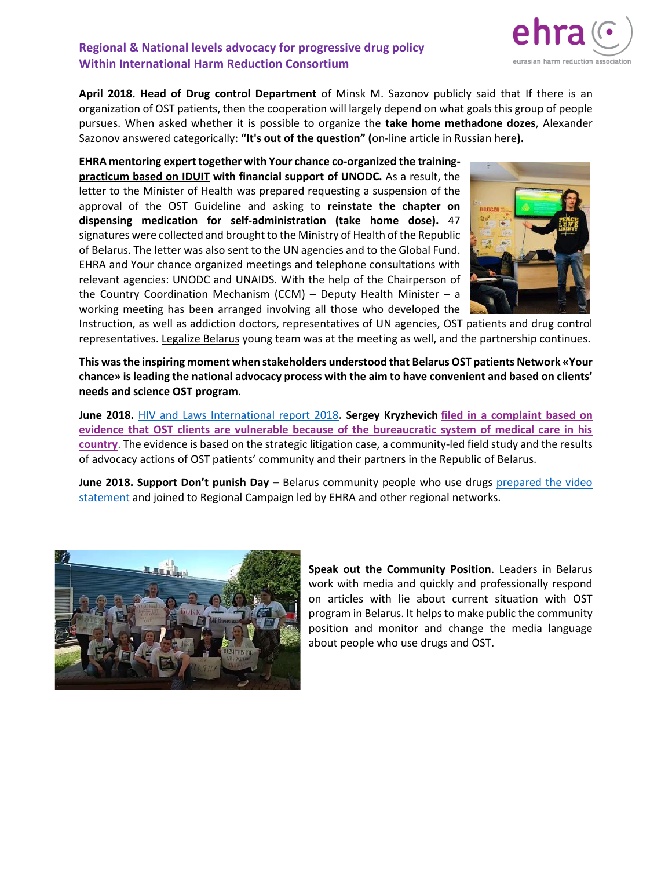**April 2018. Head of Drug control Department** of Minsk M. Sazonov publicly said that If there is an organization of OST patients, then the cooperation will largely depend on what goals this group of people pursues. When asked whether it is possible to organize the **take home methadone dozes**, Alexander Sazonov answered categorically: **"It's out of the question" (**on-line article in Russia[n here](http://mk.by/2017/04/11/162487/)**).**

**EHRA mentoring expert together with Your chance co-organized th[e training](http://harmreductioneurasia.org/i-do-it-iduit/)[practicum based on IDUIT](http://harmreductioneurasia.org/i-do-it-iduit/) with financial support of UNODC.** As a result, the letter to the Minister of Health was prepared requesting a suspension of the approval of the OST Guideline and asking to **reinstate the chapter on dispensing medication for self-administration (take home dose).** 47 signatures were collected and brought to the Ministry of Health of the Republic of Belarus. The letter was also sent to the UN agencies and to the Global Fund. EHRA and Your chance organized meetings and telephone consultations with relevant agencies: UNODC and UNAIDS. With the help of the Chairperson of the Country Coordination Mechanism (CCM) – Deputy Health Minister – a working meeting has been arranged involving all those who developed the



Instruction, as well as addiction doctors, representatives of UN agencies, OST patients and drug control representatives. [Legalize Belarus](https://www.facebook.com/LegalizeBelarus/?ref=br_rs) young team was at the meeting as well, and the partnership continues.

**This was the inspiring moment when stakeholders understood that Belarus OST patients Network «Your chance» is leading the national advocacy process with the aim to have convenient and based on clients' needs and science OST program**.

**June 2018.** [HIV and Laws International report 2018](https://hivlawcommission.org/supplement/)**. Sergey Kryzhevich filed in [a complaint based on](http://harmreductioneurasia.org/wp-content/uploads/2018/06/Belarus_OST_ENG.pdf)  [evidence that OST clients are vulnerable because of the bureaucratic system of medical care in his](http://harmreductioneurasia.org/wp-content/uploads/2018/06/Belarus_OST_ENG.pdf)  [country](http://harmreductioneurasia.org/wp-content/uploads/2018/06/Belarus_OST_ENG.pdf)**. The evidence is based on the strategic litigation case, a community-led field study and the results of advocacy actions of OST patients' community and their partners in the Republic of Belarus.

**June 2018. Support Don't punish Day –** Belarus community people who use drugs [prepared the video](http://yourchance.by/kazost-ehra-supportdontpunish/)  [statement](http://yourchance.by/kazost-ehra-supportdontpunish/) and joined to Regional Campaign led by EHRA and other regional networks.



**Speak out the Community Position**. Leaders in Belarus work with media and quickly and professionally respond on articles with lie about current situation with OST program in Belarus. It helps to make public the community position and monitor and change the media language about people who use drugs and OST.

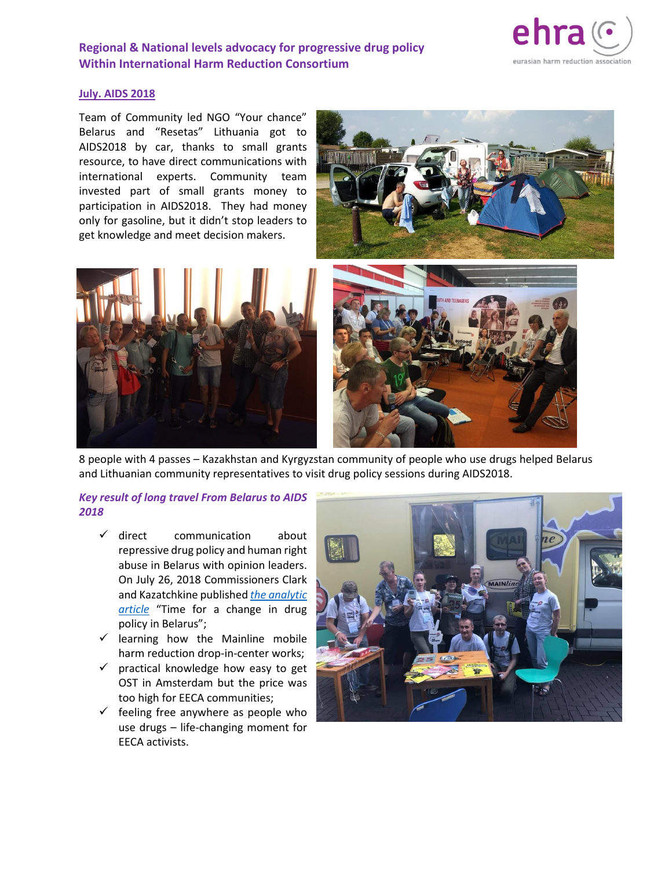

#### **July. AIDS 2018**

Team of Community led NGO "Your chance" Belarus and "Resetas" Lithuania got to AIDS2018 by car, thanks to small grants resource, to have direct communications with international experts. Community team invested part of small grants money to participation in AIDS2018. They had money only for gasoline, but it didn't stop leaders to get knowledge and meet decision makers.







8 people with 4 passes – Kazakhstan and Kyrgyzstan community of people who use drugs helped Belarus and Lithuanian community representatives to visit drug policy sessions during AIDS2018.

### *Key result of long travel From Belarus to AIDS 2018*

- ✓ direct communication about repressive drug policy and human right abuse in Belarus with opinion leaders. On July 26, 2018 Commissioners Clark and Kazatchkine published *[the analytic](http://www.globalcommissionondrugs.org/commissioners-clark-and-kazatchkine-time-for-a-change-in-drug-policy-in-belarus/)  [article](http://www.globalcommissionondrugs.org/commissioners-clark-and-kazatchkine-time-for-a-change-in-drug-policy-in-belarus/)* "Time for a change in drug policy in Belarus";
- $\checkmark$  learning how the Mainline mobile harm reduction drop-in-center works;
- $\checkmark$  practical knowledge how easy to get OST in Amsterdam but the price was too high for EECA communities;
- $\checkmark$  feeling free anywhere as people who use drugs – life-changing moment for EECA activists.